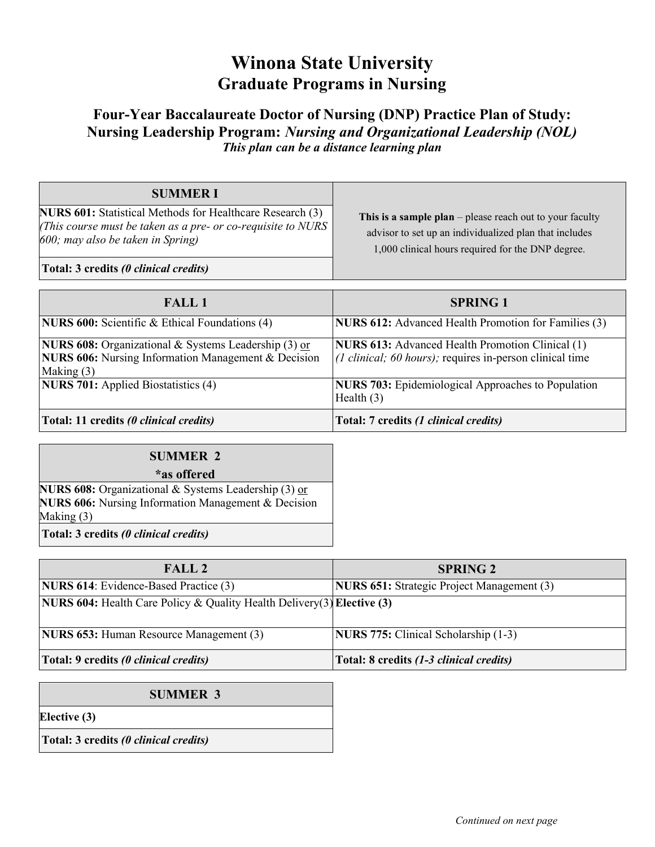## **Winona State University Graduate Programs in Nursing**

## **Four-Year Baccalaureate Doctor of Nursing (DNP) Practice Plan of Study: Nursing Leadership Program:** *Nursing and Organizational Leadership (NOL) This plan can be a distance learning plan*

| <b>SUMMERI</b><br><b>NURS 601:</b> Statistical Methods for Healthcare Research (3)<br>(This course must be taken as a pre- or co-requisite to NURS<br>600; may also be taken in Spring) | This is a sample plan $-$ please reach out to your faculty<br>advisor to set up an individualized plan that includes<br>1,000 clinical hours required for the DNP degree. |
|-----------------------------------------------------------------------------------------------------------------------------------------------------------------------------------------|---------------------------------------------------------------------------------------------------------------------------------------------------------------------------|
| Total: 3 credits (0 clinical credits)                                                                                                                                                   |                                                                                                                                                                           |

| <b>FALL 1</b>                                                                                                                      | <b>SPRING 1</b>                                                                                                                        |
|------------------------------------------------------------------------------------------------------------------------------------|----------------------------------------------------------------------------------------------------------------------------------------|
| <b>NURS 600:</b> Scientific & Ethical Foundations (4)                                                                              | <b>NURS 612:</b> Advanced Health Promotion for Families (3)                                                                            |
| NURS 608: Organizational & Systems Leadership (3) or<br><b>NURS 606:</b> Nursing Information Management & Decision<br>Making $(3)$ | <b>NURS 613:</b> Advanced Health Promotion Clinical (1)<br>$(1 \text{ clinical}; 60 \text{ hours})$ ; requires in-person clinical time |
| <b>NURS 701:</b> Applied Biostatistics (4)                                                                                         | <b>NURS 703:</b> Epidemiological Approaches to Population<br>Health $(3)$                                                              |
| Total: 11 credits (0 clinical credits)                                                                                             | Total: 7 credits (1 clinical credits)                                                                                                  |

| <b>SUMMER 2</b>                                             |  |  |
|-------------------------------------------------------------|--|--|
| *as offered                                                 |  |  |
| <b>NURS 608:</b> Organizational & Systems Leadership (3) or |  |  |
| <b>NURS 606:</b> Nursing Information Management & Decision  |  |  |
| Making $(3)$                                                |  |  |
| Total: 3 credits (0 clinical credits)                       |  |  |

| FALL2                                                                                | <b>SPRING 2</b>                                   |
|--------------------------------------------------------------------------------------|---------------------------------------------------|
| <b>NURS 614:</b> Evidence-Based Practice (3)                                         | <b>NURS 651:</b> Strategic Project Management (3) |
| <b>NURS 604:</b> Health Care Policy & Quality Health Delivery(3) <b>Elective (3)</b> |                                                   |
| <b>NURS 653:</b> Human Resource Management (3)                                       | <b>NURS 775: Clinical Scholarship (1-3)</b>       |
| Total: 9 credits (0 clinical credits)                                                | Total: 8 credits (1-3 clinical credits)           |

| <b>SUMMER 3</b>                       |  |
|---------------------------------------|--|
| Elective (3)                          |  |
| Total: 3 credits (0 clinical credits) |  |